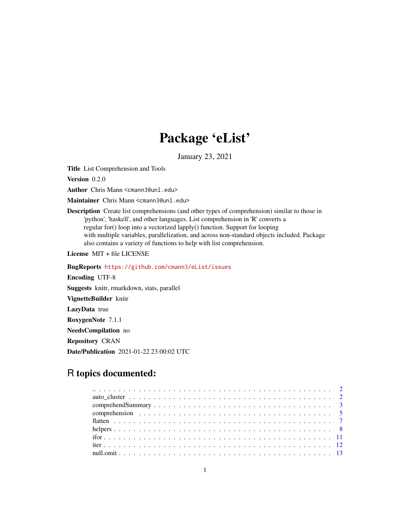## Package 'eList'

January 23, 2021

<span id="page-0-0"></span>Title List Comprehension and Tools

Version 0.2.0

Author Chris Mann <cmann3@unl.edu>

Maintainer Chris Mann <cmann3@unl.edu>

Description Create list comprehensions (and other types of comprehension) similar to those in 'python', 'haskell', and other languages. List comprehension in 'R' converts a regular for() loop into a vectorized lapply() function. Support for looping with multiple variables, parallelization, and across non-standard objects included. Package also contains a variety of functions to help with list comprehension.

License MIT + file LICENSE

BugReports <https://github.com/cmann3/eList/issues>

Encoding UTF-8

Suggests knitr, rmarkdown, stats, parallel

VignetteBuilder knitr

LazyData true

RoxygenNote 7.1.1

NeedsCompilation no

Repository CRAN

Date/Publication 2021-01-22 23:00:02 UTC

## R topics documented: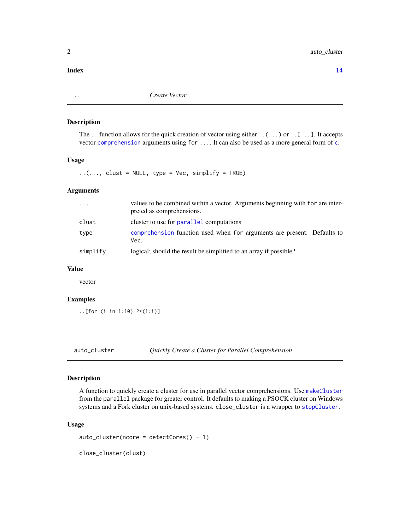#### <span id="page-1-0"></span>**Index** 2008 **[14](#page-13-0)**

<span id="page-1-1"></span>.. *Create Vector*

#### Description

The ... function allows for the quick creation of vector using either  $\ldots$  or  $\ldots$  [ $\ldots$ ]. It accepts vector [comprehension](#page-4-1) arguments using for .... It can also be used as a more general form of [c](#page-0-0).

#### Usage

 $\ldots$ , clust = NULL, type = Vec, simplify = TRUE)

#### Arguments

| $\cdot$  | values to be combined within a vector. Arguments beginning with for are inter-<br>preted as comprehensions. |
|----------|-------------------------------------------------------------------------------------------------------------|
| clust    | cluster to use for parallel computations                                                                    |
| type     | comprehension function used when for arguments are present. Defaults to<br>Vec.                             |
| simplify | logical; should the result be simplified to an array if possible?                                           |

#### Value

vector

#### Examples

..[for (i in 1:10) 2\*(1:i)]

```
auto_cluster Quickly Create a Cluster for Parallel Comprehension
```
#### Description

A function to quickly create a cluster for use in parallel vector comprehensions. Use [makeCluster](#page-0-0) from the parallel package for greater control. It defaults to making a PSOCK cluster on Windows systems and a Fork cluster on unix-based systems. close\_cluster is a wrapper to [stopCluster](#page-0-0).

#### Usage

```
auto\_cluster(ncore = detectCores() - 1)
```
close\_cluster(clust)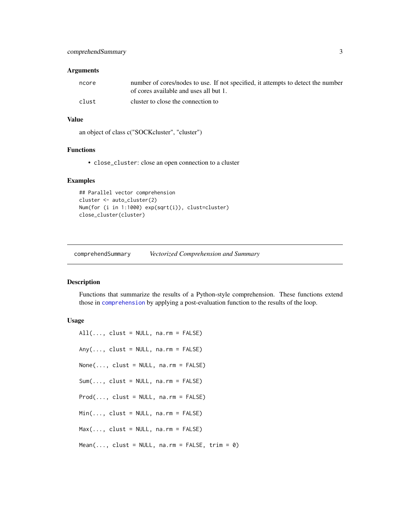#### <span id="page-2-0"></span>**Arguments**

| ncore | number of cores/nodes to use. If not specified, it attempts to detect the number<br>of cores available and uses all but 1. |
|-------|----------------------------------------------------------------------------------------------------------------------------|
| clust | cluster to close the connection to                                                                                         |

#### Value

an object of class c("SOCKcluster", "cluster")

#### Functions

• close\_cluster: close an open connection to a cluster

#### Examples

```
## Parallel vector comprehension
cluster <- auto_cluster(2)
Num(for (i in 1:1000) exp(sqrt(i)), clust=cluster)
close_cluster(cluster)
```
comprehendSummary *Vectorized Comprehension and Summary*

#### Description

Functions that summarize the results of a Python-style comprehension. These functions extend those in [comprehension](#page-4-1) by applying a post-evaluation function to the results of the loop.

#### Usage

```
All(..., clust = NULL, na.rm = FALSE)Any(..., clust = NULL, na.rm = FALSE)None(..., clust = NULL, na.rm = FALSE)Sum(..., clust = NULL, na.rm = FALSE)Prod(..., clust = NULL, na.rm = FALSE)Min(\ldots, \text{clust = NULL}, \text{na.m = FALSE})Max(..., clust = NULL, na.rm = FALSE)Mean(..., \text{ clust = NULL}, \text{ na.m = FALSE}, \text{ trim = 0})
```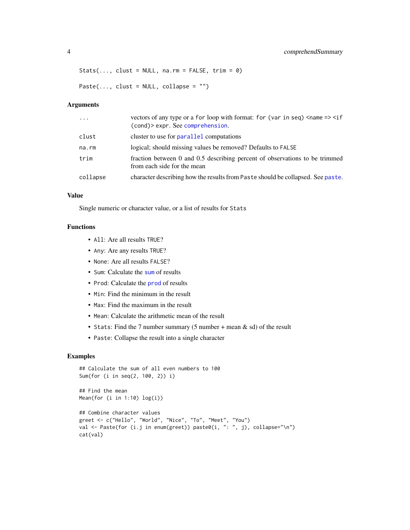```
Stats(..., clust = NULL, na.rm = FALSE, trim = \emptyset)
```
Paste $(..., \text{ clust = NULL}, \text{ collapse = ''''})$ 

#### Arguments

| $\ddotsc$ | vectors of any type or a for loop with format: for (var in seq) $\langle$ name => $\langle$ if<br>(cond) > expr. See comprehension. |
|-----------|-------------------------------------------------------------------------------------------------------------------------------------|
| clust     | cluster to use for parallel computations                                                                                            |
| na.rm     | logical; should missing values be removed? Defaults to FALSE                                                                        |
| trim      | fraction between 0 and 0.5 describing percent of observations to be trimmed<br>from each side for the mean                          |
| collapse  | character describing how the results from Paste should be collapsed. See paste.                                                     |

#### Value

Single numeric or character value, or a list of results for Stats

#### Functions

- All: Are all results TRUE?
- Any: Are any results TRUE?
- None: Are all results FALSE?
- Sum: Calculate the [sum](#page-0-0) of results
- Prod: Calculate the [prod](#page-0-0) of results
- Min: Find the minimum in the result
- Max: Find the maximum in the result
- Mean: Calculate the arithmetic mean of the result
- Stats: Find the 7 number summary (5 number + mean & sd) of the result
- Paste: Collapse the result into a single character

#### Examples

```
## Calculate the sum of all even numbers to 100
Sum(for (i in seq(2, 100, 2)) i)
## Find the mean
Mean(for (i in 1:10) log(i))
## Combine character values
greet <- c("Hello", "World", "Nice", "To", "Meet", "You")
val <- Paste(for (i.j in enum(greet)) paste0(i, ": ", j), collapse="\n")
cat(val)
```
<span id="page-3-0"></span>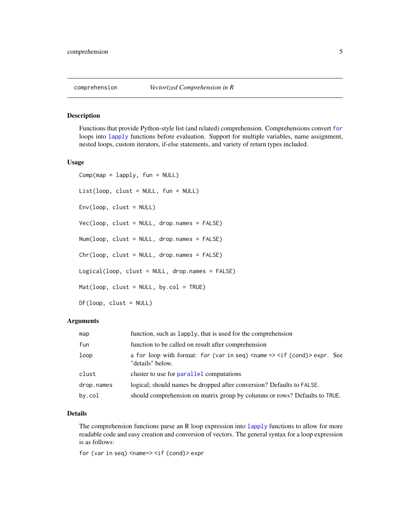#### <span id="page-4-1"></span><span id="page-4-0"></span>Description

Functions that provide Python-style list (and related) comprehension. Comprehensions convert [for](#page-0-0) loops into [lapply](#page-0-0) functions before evaluation. Support for multiple variables, name assignment, nested loops, custom iterators, if-else statements, and variety of return types included.

#### Usage

```
Comp(map = lapply, fun = NULL)List(loop, clust = NULL, fun = NULL)
Env(loop, clust = NULL)
Vec(loop, clust = NULL, drop.names = FALSE)
Num(loop, clust = NULL, drop.names = FALSE)
Chr(loop, clust = NULL, drop.names = FALSE)
Logical(loop, clust = NULL, drop.names = FALSE)
Mat(loop, clust = NULL, by.col = TRUE)
DF(loop, clust = NULL)
```
#### Arguments

| map        | function, such as lapply, that is used for the comprehension                                                   |
|------------|----------------------------------------------------------------------------------------------------------------|
| fun        | function to be called on result after comprehension                                                            |
| loop       | a for loop with format: for (var in seq) $\langle$ name => $\langle$ if (cond) > expr. See<br>"details" below. |
| clust      | cluster to use for parallel computations                                                                       |
| drop.names | logical; should names be dropped after conversion? Defaults to FALSE.                                          |
| by.col     | should comprehension on matrix group by columns or rows? Defaults to TRUE.                                     |

#### Details

The comprehension functions parse an R loop expression into [lapply](#page-0-0) functions to allow for more readable code and easy creation and conversion of vectors. The general syntax for a loop expression is as follows:

for (var in seq) <name=> <if (cond)> expr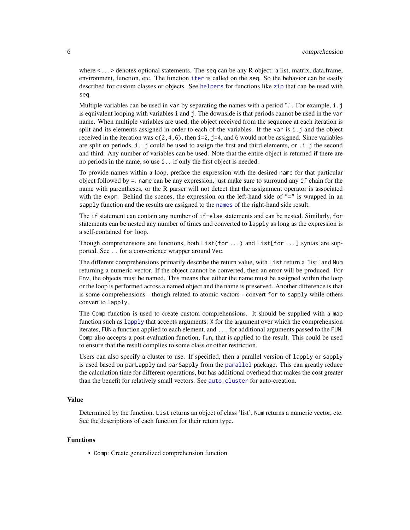<span id="page-5-0"></span>where  $\lt \dots$  > denotes optional statements. The seq can be any R object: a list, matrix, data.frame, environment, function, etc. The function [iter](#page-11-1) is called on the seq. So the behavior can be easily described for custom classes or objects. See [helpers](#page-7-1) for functions like [zip](#page-7-2) that can be used with seq.

Multiple variables can be used in var by separating the names with a period ".". For example, i.j is equivalent looping with variables i and j. The downside is that periods cannot be used in the var name. When multiple variables are used, the object received from the sequence at each iteration is split and its elements assigned in order to each of the variables. If the var is i.j and the object received in the iteration was  $c(2,4,6)$ , then i=2, j=4, and 6 would not be assigned. Since variables are split on periods,  $i \cdot j$  could be used to assign the first and third elements, or  $i \cdot j$  the second and third. Any number of variables can be used. Note that the entire object is returned if there are no periods in the name, so use i.. if only the first object is needed.

To provide names within a loop, preface the expression with the desired name for that particular object followed by =. name can be any expression, just make sure to surround any if chain for the name with parentheses, or the R parser will not detect that the assignment operator is associated with the expr. Behind the scenes, the expression on the left-hand side of  $"="$  is wrapped in an sapply function and the results are assigned to the [names](#page-0-0) of the right-hand side result.

The if statement can contain any number of if-else statements and can be nested. Similarly, for statements can be nested any number of times and converted to lapply as long as the expression is a self-contained for loop.

Though comprehensions are functions, both List(for ...) and List[for ...] syntax are supported. See [..](#page-1-1) for a convenience wrapper around Vec.

The different comprehensions primarily describe the return value, with List return a "list" and Num returning a numeric vector. If the object cannot be converted, then an error will be produced. For Env, the objects must be named. This means that either the name must be assigned within the loop or the loop is performed across a named object and the name is preserved. Another difference is that is some comprehensions - though related to atomic vectors - convert for to sapply while others convert to lapply.

The Comp function is used to create custom comprehensions. It should be supplied with a map function such as  $\text{lapply that accepts arguments: } X$  $\text{lapply that accepts arguments: } X$  $\text{lapply that accepts arguments: } X$  for the argument over which the comprehension iterates, FUN a function applied to each element, and ... for additional arguments passed to the FUN. Comp also accepts a post-evaluation function, fun, that is applied to the result. This could be used to ensure that the result complies to some class or other restriction.

Users can also specify a cluster to use. If specified, then a parallel version of lapply or sapply is used based on parLapply and parSapply from the [parallel](#page-0-0) package. This can greatly reduce the calculation time for different operations, but has additional overhead that makes the cost greater than the benefit for relatively small vectors. See [auto\\_cluster](#page-1-2) for auto-creation.

#### Value

Determined by the function. List returns an object of class 'list', Num returns a numeric vector, etc. See the descriptions of each function for their return type.

#### Functions

• Comp: Create generalized comprehension function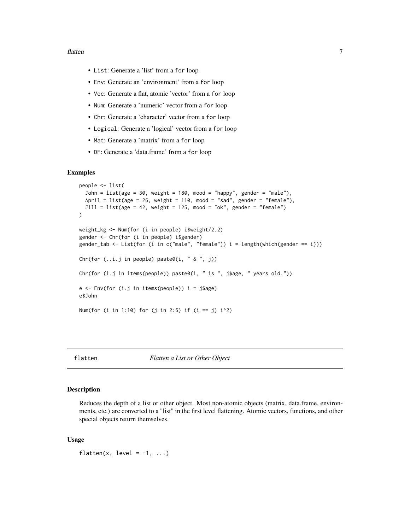#### <span id="page-6-0"></span>flatten 3000 met 1000 met 1000 met 1000 met 1000 met 1000 met 1000 met 1000 met 1000 met 1000 met 1000 met 100

- List: Generate a 'list' from a for loop
- Env: Generate an 'environment' from a for loop
- Vec: Generate a flat, atomic 'vector' from a for loop
- Num: Generate a 'numeric' vector from a for loop
- Chr: Generate a 'character' vector from a for loop
- Logical: Generate a 'logical' vector from a for loop
- Mat: Generate a 'matrix' from a for loop
- DF: Generate a 'data.frame' from a for loop

#### Examples

```
people <- list(
 John = list(age = 30, weight = 180, mood = "happy", gender = "male"),April = list(age = 26, weight = 110, mood = "sad", gender = "female"),
 Jill = list(age = 42, weight = 125, mood = "ok", gender = "female"))
weight_kg <- Num(for (i in people) i$weight/2.2)
gender <- Chr(for (i in people) i$gender)
gender_tab <- List(for (i in c("male", "female")) i = length(which(gender == i)))
Chr(for (.i.j in people) paste0(i, " & ", j))Chr(for (i.j in items(people)) paste0(i, " is ", j$age, " years old."))
e \leftarrow \text{Env}(\text{for} (\text{i. j in items}(\text{people})) i = j\e$John
Num(for (i in 1:10) for (j in 2:6) if (i == j) i^2)
```
#### flatten *Flatten a List or Other Object*

#### Description

Reduces the depth of a list or other object. Most non-atomic objects (matrix, data.frame, environments, etc.) are converted to a "list" in the first level flattening. Atomic vectors, functions, and other special objects return themselves.

#### Usage

flatten(x, level =  $-1$ , ...)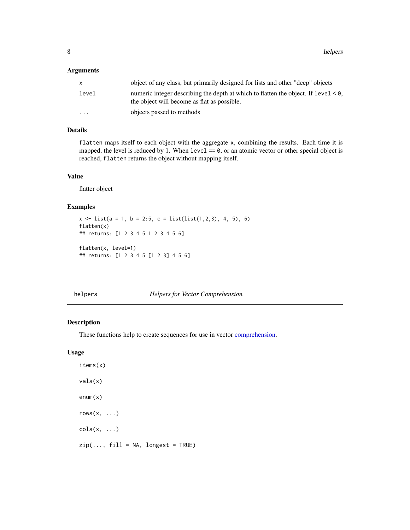<span id="page-7-0"></span>8 helpers and the set of the set of the set of the set of the set of the set of the set of the set of the set of the set of the set of the set of the set of the set of the set of the set of the set of the set of the set of

#### Arguments

| X        | object of any class, but primarily designed for lists and other "deep" objects                                                       |
|----------|--------------------------------------------------------------------------------------------------------------------------------------|
| level    | numeric integer describing the depth at which to flatten the object. If $level < 0$ ,<br>the object will become as flat as possible. |
| $\cdots$ | objects passed to methods                                                                                                            |

### Details

flatten maps itself to each object with the aggregate x, combining the results. Each time it is mapped, the level is reduced by 1. When  $level == 0$ , or an atomic vector or other special object is reached, flatten returns the object without mapping itself.

#### Value

flatter object

#### Examples

```
x \leftarrow list(a = 1, b = 2:5, c = list(list(1,2,3), 4, 5), 6)
flatten(x)
## returns: [1 2 3 4 5 1 2 3 4 5 6]
flatten(x, level=1)
## returns: [1 2 3 4 5 [1 2 3] 4 5 6]
```
<span id="page-7-1"></span>helpers *Helpers for Vector Comprehension*

#### <span id="page-7-2"></span>Description

These functions help to create sequences for use in vector [comprehension.](#page-4-1)

#### Usage

items(x) vals(x) enum(x)  $rows(x, \ldots)$  $\text{cols}(x, \ldots)$  $zip(..., fill = NA, longest = TRUE)$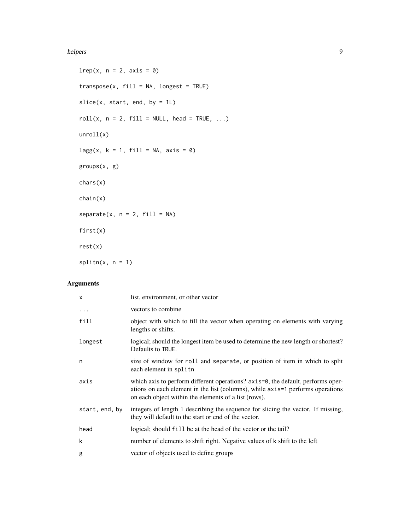#### helpers **9**

```
lrep(x, n = 2, axis = 0)transpose(x, fill = NA, longest = TRUE)slice(x, start, end, by = 1L)roll(x, n = 2, fill = NULL, head = TRUE, ...)
unroll(x)
lagg(x, k = 1, fill = NA, axis = 0)groups(x, g)
chars(x)
chain(x)
separate(x, n = 2, fill = NA)first(x)
rest(x)
splitn(x, n = 1)
```
### Arguments

| $\mathsf{x}$   | list, environment, or other vector                                                                                                                                                                                        |
|----------------|---------------------------------------------------------------------------------------------------------------------------------------------------------------------------------------------------------------------------|
| $\cdots$       | vectors to combine.                                                                                                                                                                                                       |
| fill           | object with which to fill the vector when operating on elements with varying<br>lengths or shifts.                                                                                                                        |
| longest        | logical; should the longest item be used to determine the new length or shortest?<br>Defaults to TRUE.                                                                                                                    |
| n              | size of window for roll and separate, or position of item in which to split<br>each element in splitn                                                                                                                     |
| axis           | which axis to perform different operations? axis=0, the default, performs oper-<br>ations on each element in the list (columns), while axis=1 performs operations<br>on each object within the elements of a list (rows). |
| start, end, by | integers of length 1 describing the sequence for slicing the vector. If missing,<br>they will default to the start or end of the vector.                                                                                  |
| head           | logical; should fill be at the head of the vector or the tail?                                                                                                                                                            |
| k              | number of elements to shift right. Negative values of k shift to the left                                                                                                                                                 |
| g              | vector of objects used to define groups                                                                                                                                                                                   |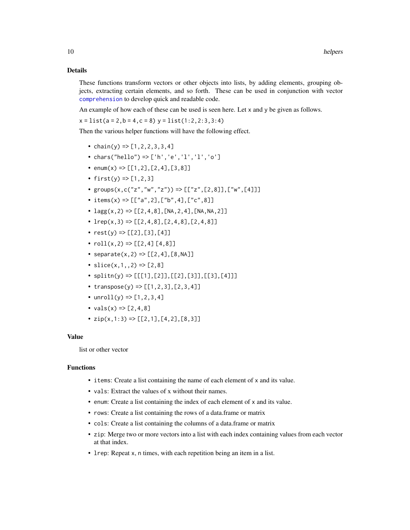#### <span id="page-9-0"></span>Details

These functions transform vectors or other objects into lists, by adding elements, grouping objects, extracting certain elements, and so forth. These can be used in conjunction with vector [comprehension](#page-4-1) to develop quick and readable code.

An example of how each of these can be used is seen here. Let x and y be given as follows.

 $x = list(a = 2, b = 4, c = 8)$   $y = list(1:2,2:3,3:4)$ 

Then the various helper functions will have the following effect.

- chain(y) =>  $[1, 2, 2, 3, 3, 4]$
- chars("hello") => ['h','e','l','l','o']
- enum(x) =>  $[1, 2], [2, 4], [3, 8]$
- first(y) =>  $[1, 2, 3]$
- groups(x,c("z","w","z")) => [["z",[2,8]],["w",[4]]]
- items(x) =>  $[$ ["a",2],["b",4],["c",8]]
- $\text{lagg}(x,2)$  => [[2,4,8],[NA,2,4],[NA,NA,2]]
- $lrep(x,3)$  =>  $[[2,4,8],[2,4,8],[2,4,8]]$
- $rest(y) \Rightarrow [[2], [3], [4]]$
- $roll(x, 2) \Rightarrow [[2, 4] [4, 8]]$
- separate(x, 2) =>  $[2, 4]$ ,  $[8, NA]$ ]
- slice $(x,1,2)$  =>  $[2,8]$
- $splitn(y) \Rightarrow [[[1], [2]], [2], [3]], [[3], [4]])$
- transpose(y) =>  $[1, 2, 3]$ ,  $[2, 3, 4]$ ]
- unroll(y) => $[1, 2, 3, 4]$
- vals(x) =>  $[2, 4, 8]$
- $zip(x, 1:3) \Rightarrow [[2, 1], [4, 2], [8, 3]]$

#### Value

list or other vector

#### Functions

- items: Create a list containing the name of each element of x and its value.
- vals: Extract the values of x without their names.
- enum: Create a list containing the index of each element of x and its value.
- rows: Create a list containing the rows of a data.frame or matrix
- cols: Create a list containing the columns of a data.frame or matrix
- zip: Merge two or more vectors into a list with each index containing values from each vector at that index.
- lrep: Repeat x, n times, with each repetition being an item in a list.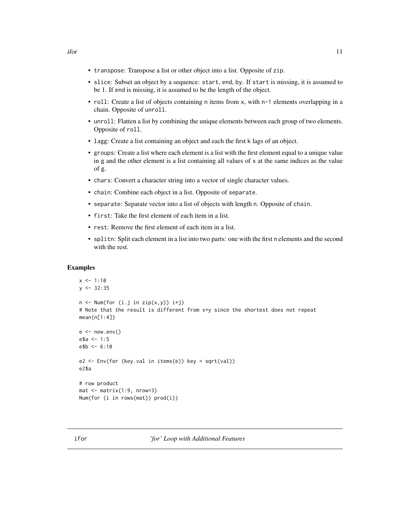- <span id="page-10-0"></span>• transpose: Transpose a list or other object into a list. Opposite of zip.
- slice: Subset an object by a sequence: start, end, by. If start is missing, it is assumed to be 1. If end is missing, it is assumed to be the length of the object.
- roll: Create a list of objects containing n items from x, with n-1 elements overlapping in a chain. Opposite of unroll.
- unroll: Flatten a list by combining the unique elements between each group of two elements. Opposite of roll.
- lagg: Create a list containing an object and each the first k lags of an object.
- groups: Create a list where each element is a list with the first element equal to a unique value in g and the other element is a list containing all values of  $x$  at the same indices as the value of g.
- chars: Convert a character string into a vector of single character values.
- chain: Combine each object in a list. Opposite of separate.
- separate: Separate vector into a list of objects with length n. Opposite of chain.
- first: Take the first element of each item in a list.
- rest: Remove the first element of each item in a list.
- splitn: Split each element in a list into two parts: one with the first n elements and the second with the rest.

#### Examples

```
x < -1:10y <- 32:35
n \leq Num(for (i.j in zip(x,y)) i+j)# Note that the result is different from x+y since the shortest does not repeat
mean(n[1:4])
e < - new.env()
e$a <- 1:5
e$b <- 6:10
e2 <- Env(for (key.val in items(e)) key = sqrt(val))
e2$a
# row product
mat < -matrix(1:9, nrow=3)Num(for (i in rows(mat)) prod(i))
```
ifor *'for' Loop with Additional Features*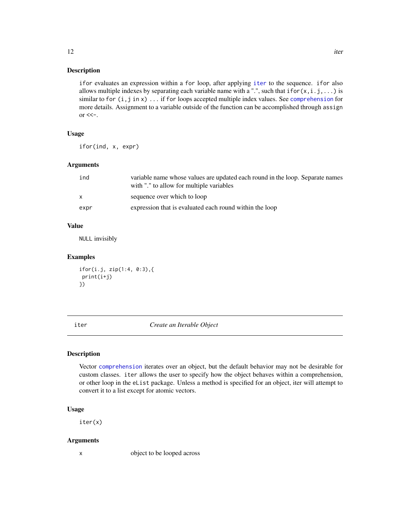ifor evaluates an expression within a for loop, after applying [iter](#page-11-1) to the sequence. ifor also allows multiple indexes by separating each variable name with a ".", such that ifor $(x, i, j, ...)$  is similar to for (i,j in x) ... if for loops accepted multiple index values. See [comprehension](#page-4-1) for more details. Assignment to a variable outside of the function can be accomplished through assign  $\alpha$  <<-.

#### Usage

ifor(ind, x, expr)

#### Arguments

| ind  | variable name whose values are updated each round in the loop. Separate names<br>with "." to allow for multiple variables |
|------|---------------------------------------------------------------------------------------------------------------------------|
| x.   | sequence over which to loop                                                                                               |
| expr | expression that is evaluated each round within the loop                                                                   |

#### Value

NULL invisibly

#### Examples

```
ifor(i.j, zip(1:4, 0:3),{
print(i+j)
})
```
<span id="page-11-1"></span>iter *Create an Iterable Object*

#### Description

Vector [comprehension](#page-4-1) iterates over an object, but the default behavior may not be desirable for custom classes. iter allows the user to specify how the object behaves within a comprehension, or other loop in the eList package. Unless a method is specified for an object, iter will attempt to convert it to a list except for atomic vectors.

#### Usage

iter(x)

#### Arguments

x object to be looped across

<span id="page-11-0"></span>

Description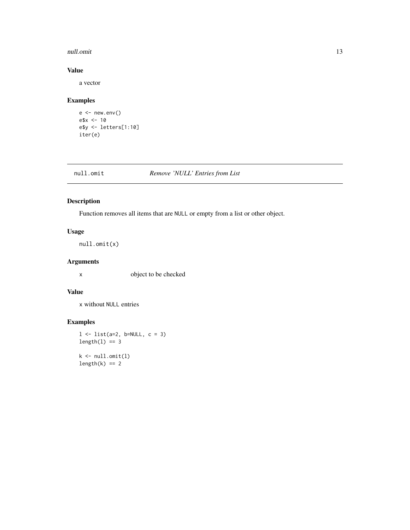#### <span id="page-12-0"></span>null.omit and the contract of the contract of the contract of the contract of the contract of the contract of the contract of the contract of the contract of the contract of the contract of the contract of the contract of

#### Value

a vector

#### Examples

```
e < - new.env()
e$x <- 10
e$y <- letters[1:10]
iter(e)
```
#### null.omit *Remove 'NULL' Entries from List*

#### Description

Function removes all items that are NULL or empty from a list or other object.

#### Usage

null.omit(x)

#### Arguments

x object to be checked

#### Value

x without NULL entries

#### Examples

```
l \leftarrow list(a=2, b=NULL, c = 3)
length(1) == 3k \leftarrow null.mit(1)length(k) == 2
```